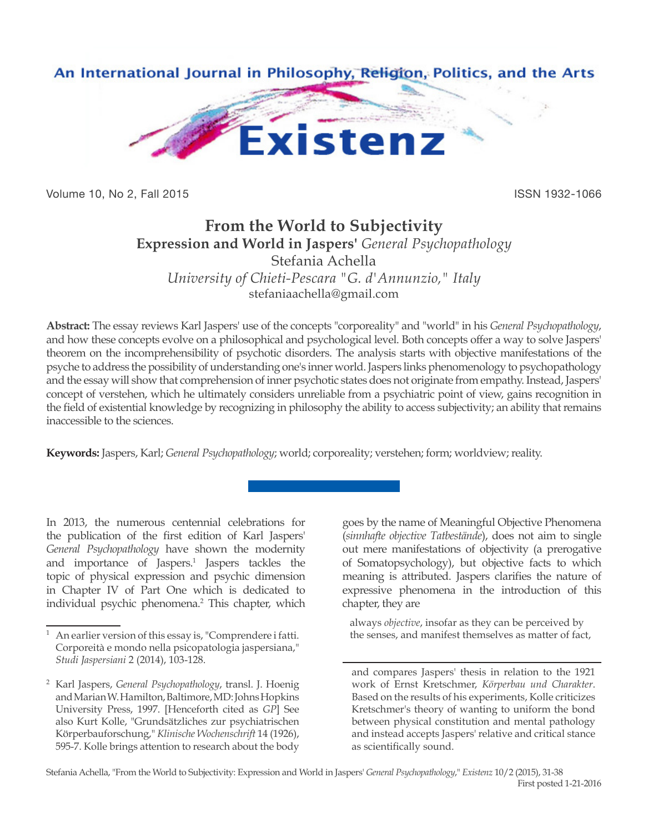

Volume 10, No 2, Fall 2015 **ISSN 1932-1066** 

# **From the World to Subjectivity Expression and World in Jaspers'** *General Psychopathology* Stefania Achella *University of Chieti-Pescara "G. d'Annunzio," Italy* stefaniaachella@gmail.com

**Abstract:** The essay reviews Karl Jaspers' use of the concepts "corporeality" and "world" in his *General Psychopathology*, and how these concepts evolve on a philosophical and psychological level. Both concepts offer a way to solve Jaspers' theorem on the incomprehensibility of psychotic disorders. The analysis starts with objective manifestations of the psyche to address the possibility of understanding one's inner world. Jaspers links phenomenology to psychopathology and the essay will show that comprehension of inner psychotic states does not originate from empathy. Instead, Jaspers' concept of verstehen, which he ultimately considers unreliable from a psychiatric point of view, gains recognition in the field of existential knowledge by recognizing in philosophy the ability to access subjectivity; an ability that remains inaccessible to the sciences.

**Keywords:** Jaspers, Karl; *General Psychopathology*; world; corporeality; verstehen; form; worldview; reality.

In 2013, the numerous centennial celebrations for the publication of the first edition of Karl Jaspers' *General Psychopathology* have shown the modernity and importance of Jaspers.<sup>1</sup> Jaspers tackles the topic of physical expression and psychic dimension in Chapter IV of Part One which is dedicated to individual psychic phenomena.<sup>2</sup> This chapter, which

goes by the name of Meaningful Objective Phenomena (*sinnhafte objective Tatbestände*), does not aim to single out mere manifestations of objectivity (a prerogative of Somatopsychology), but objective facts to which meaning is attributed. Jaspers clarifies the nature of expressive phenomena in the introduction of this chapter, they are

always *objective*, insofar as they can be perceived by the senses, and manifest themselves as matter of fact,

and compares Jaspers' thesis in relation to the 1921 work of Ernst Kretschmer, *Körperbau und Charakter*. Based on the results of his experiments, Kolle criticizes Kretschmer's theory of wanting to uniform the bond between physical constitution and mental pathology and instead accepts Jaspers' relative and critical stance as scientifically sound.

An earlier version of this essay is, "Comprendere i fatti. Corporeità e mondo nella psicopatologia jaspersiana," *Studi Jaspersiani* 2 (2014), 103-128.

<sup>2</sup> Karl Jaspers, *General Psychopathology*, transl. J. Hoenig and Marian W. Hamilton, Baltimore, MD: Johns Hopkins University Press, 1997. [Henceforth cited as *GP*] See also Kurt Kolle, "Grundsätzliches zur psychiatrischen Körperbauforschung," *Klinische Wochenschrift* 14 (1926), 595-7. Kolle brings attention to research about the body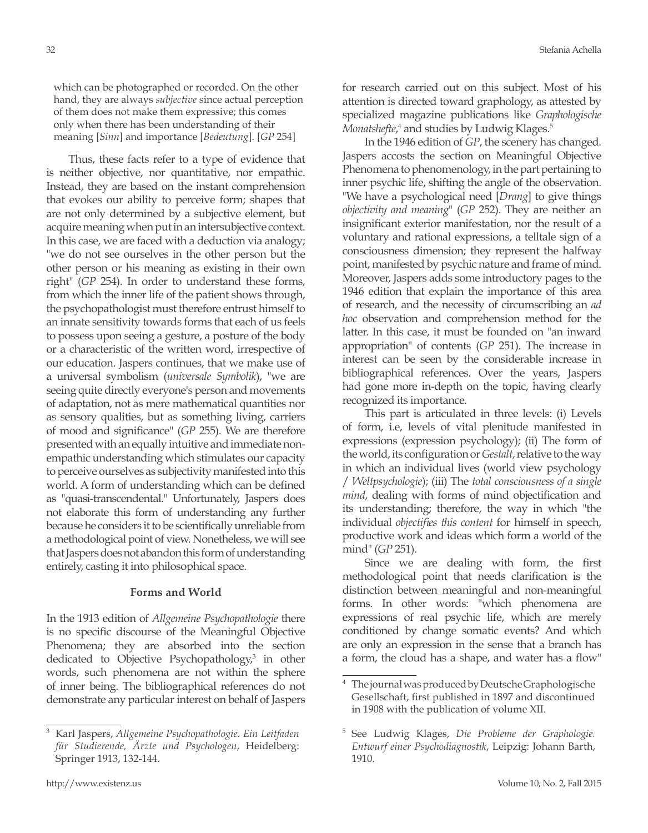which can be photographed or recorded. On the other hand, they are always *subjective* since actual perception of them does not make them expressive; this comes only when there has been understanding of their meaning [*Sinn*] and importance [*Bedeutung*]. [*GP* 254]

Thus, these facts refer to a type of evidence that is neither objective, nor quantitative, nor empathic. Instead, they are based on the instant comprehension that evokes our ability to perceive form; shapes that are not only determined by a subjective element, but acquire meaning when put in an intersubjective context. In this case, we are faced with a deduction via analogy; "we do not see ourselves in the other person but the other person or his meaning as existing in their own right" (*GP* 254). In order to understand these forms, from which the inner life of the patient shows through, the psychopathologist must therefore entrust himself to an innate sensitivity towards forms that each of us feels to possess upon seeing a gesture, a posture of the body or a characteristic of the written word, irrespective of our education. Jaspers continues, that we make use of a universal symbolism (*universale Symbolik*), "we are seeing quite directly everyone's person and movements of adaptation, not as mere mathematical quantities nor as sensory qualities, but as something living, carriers of mood and significance" (*GP* 255). We are therefore presented with an equally intuitive and immediate nonempathic understanding which stimulates our capacity to perceive ourselves as subjectivity manifested into this world. A form of understanding which can be defined as "quasi-transcendental." Unfortunately, Jaspers does not elaborate this form of understanding any further because he considers it to be scientifically unreliable from a methodological point of view. Nonetheless, we will see that Jaspers does not abandon this form of understanding entirely, casting it into philosophical space.

## **Forms and World**

In the 1913 edition of *Allgemeine Psychopathologie* there is no specific discourse of the Meaningful Objective Phenomena; they are absorbed into the section dedicated to Objective Psychopathology,<sup>3</sup> in other words, such phenomena are not within the sphere of inner being. The bibliographical references do not demonstrate any particular interest on behalf of Jaspers

for research carried out on this subject. Most of his attention is directed toward graphology, as attested by specialized magazine publications like *Graphologische*  Monatshefte,<sup>4</sup> and studies by Ludwig Klages.<sup>5</sup>

In the 1946 edition of *GP*, the scenery has changed. Jaspers accosts the section on Meaningful Objective Phenomena to phenomenology, in the part pertaining to inner psychic life, shifting the angle of the observation. "We have a psychological need [*Drang*] to give things *objectivity and meaning*" (*GP* 252). They are neither an insignificant exterior manifestation, nor the result of a voluntary and rational expressions, a telltale sign of a consciousness dimension; they represent the halfway point, manifested by psychic nature and frame of mind. Moreover, Jaspers adds some introductory pages to the 1946 edition that explain the importance of this area of research, and the necessity of circumscribing an *ad hoc* observation and comprehension method for the latter. In this case, it must be founded on "an inward appropriation" of contents (*GP* 251). The increase in interest can be seen by the considerable increase in bibliographical references. Over the years, Jaspers had gone more in-depth on the topic, having clearly recognized its importance.

This part is articulated in three levels: (i) Levels of form, i.e, levels of vital plenitude manifested in expressions (expression psychology); (ii) The form of the world, its configuration or *Gestalt*, relative to the way in which an individual lives (world view psychology / *Weltpsychologie*); (iii) The *total consciousness of a single mind*, dealing with forms of mind objectification and its understanding; therefore, the way in which "the individual *objectifies this content* for himself in speech, productive work and ideas which form a world of the mind" (*GP* 251).

Since we are dealing with form, the first methodological point that needs clarification is the distinction between meaningful and non-meaningful forms. In other words: "which phenomena are expressions of real psychic life, which are merely conditioned by change somatic events? And which are only an expression in the sense that a branch has a form, the cloud has a shape, and water has a flow"

<sup>3</sup> Karl Jaspers, *Allgemeine Psychopathologie. Ein Leitfaden für Studierende, Ärzte und Psychologen*, Heidelberg: Springer 1913, 132-144.

<sup>4</sup> The journal was produced by Deutsche Graphologische Gesellschaft, first published in 1897 and discontinued in 1908 with the publication of volume XII.

<sup>5</sup> See Ludwig Klages, *Die Probleme der Graphologie. Entwurf einer Psychodiagnostik*, Leipzig: Johann Barth, 1910.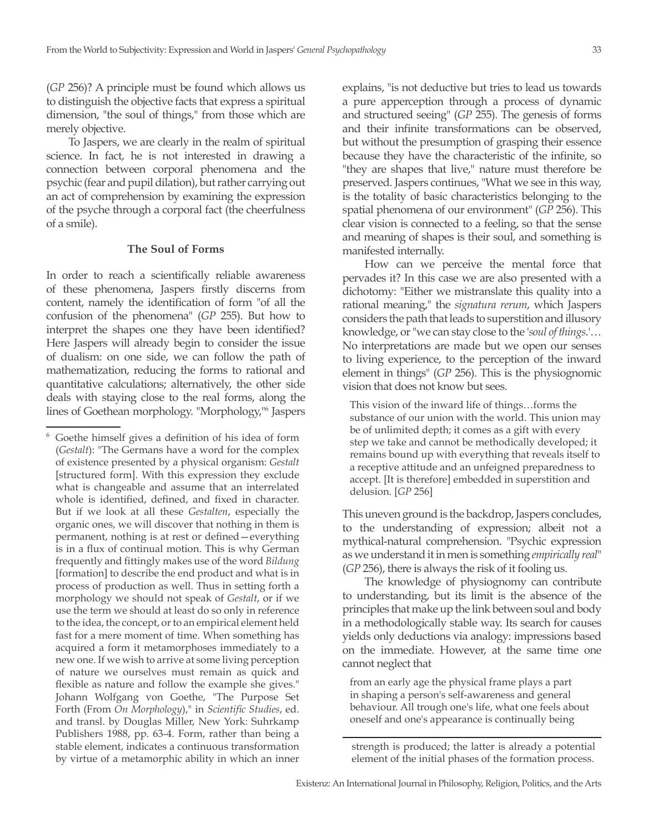(*GP* 256)? A principle must be found which allows us to distinguish the objective facts that express a spiritual dimension, "the soul of things," from those which are merely objective.

To Jaspers, we are clearly in the realm of spiritual science. In fact, he is not interested in drawing a connection between corporal phenomena and the psychic (fear and pupil dilation), but rather carrying out an act of comprehension by examining the expression of the psyche through a corporal fact (the cheerfulness of a smile).

#### **The Soul of Forms**

In order to reach a scientifically reliable awareness of these phenomena, Jaspers firstly discerns from content, namely the identification of form "of all the confusion of the phenomena" (*GP* 255). But how to interpret the shapes one they have been identified? Here Jaspers will already begin to consider the issue of dualism: on one side, we can follow the path of mathematization, reducing the forms to rational and quantitative calculations; alternatively, the other side deals with staying close to the real forms, along the lines of Goethean morphology. "Morphology,"6 Jaspers

explains, "is not deductive but tries to lead us towards a pure apperception through a process of dynamic and structured seeing" (*GP* 255). The genesis of forms and their infinite transformations can be observed, but without the presumption of grasping their essence because they have the characteristic of the infinite, so "they are shapes that live," nature must therefore be preserved. Jaspers continues, "What we see in this way, is the totality of basic characteristics belonging to the spatial phenomena of our environment" (*GP* 256). This clear vision is connected to a feeling, so that the sense and meaning of shapes is their soul, and something is manifested internally.

How can we perceive the mental force that pervades it? In this case we are also presented with a dichotomy: "Either we mistranslate this quality into a rational meaning," the *signatura rerum*, which Jaspers considers the path that leads to superstition and illusory knowledge, or "we can stay close to the '*soul of things*.'… No interpretations are made but we open our senses to living experience, to the perception of the inward element in things" (*GP* 256). This is the physiognomic vision that does not know but sees.

This vision of the inward life of things…forms the substance of our union with the world. This union may be of unlimited depth; it comes as a gift with every step we take and cannot be methodically developed; it remains bound up with everything that reveals itself to a receptive attitude and an unfeigned preparedness to accept. [It is therefore] embedded in superstition and delusion. [*GP* 256]

This uneven ground is the backdrop, Jaspers concludes, to the understanding of expression; albeit not a mythical-natural comprehension. "Psychic expression as we understand it in men is something *empirically real*" (*GP* 256), there is always the risk of it fooling us.

The knowledge of physiognomy can contribute to understanding, but its limit is the absence of the principles that make up the link between soul and body in a methodologically stable way. Its search for causes yields only deductions via analogy: impressions based on the immediate. However, at the same time one cannot neglect that

from an early age the physical frame plays a part in shaping a person's self-awareness and general behaviour. All trough one's life, what one feels about oneself and one's appearance is continually being

strength is produced; the latter is already a potential element of the initial phases of the formation process.

<sup>6</sup> Goethe himself gives a definition of his idea of form (*Gestalt*): "The Germans have a word for the complex of existence presented by a physical organism: *Gestalt* [structured form]. With this expression they exclude what is changeable and assume that an interrelated whole is identified, defined, and fixed in character. But if we look at all these *Gestalten*, especially the organic ones, we will discover that nothing in them is permanent, nothing is at rest or defined—everything is in a flux of continual motion. This is why German frequently and fittingly makes use of the word *Bildung* [formation] to describe the end product and what is in process of production as well. Thus in setting forth a morphology we should not speak of *Gestalt*, or if we use the term we should at least do so only in reference to the idea, the concept, or to an empirical element held fast for a mere moment of time. When something has acquired a form it metamorphoses immediately to a new one. If we wish to arrive at some living perception of nature we ourselves must remain as quick and flexible as nature and follow the example she gives." Johann Wolfgang von Goethe, "The Purpose Set Forth (From *On Morphology*)," in *Scientific Studies*, ed. and transl. by Douglas Miller, New York: Suhrkamp Publishers 1988, pp. 63-4. Form, rather than being a stable element, indicates a continuous transformation by virtue of a metamorphic ability in which an inner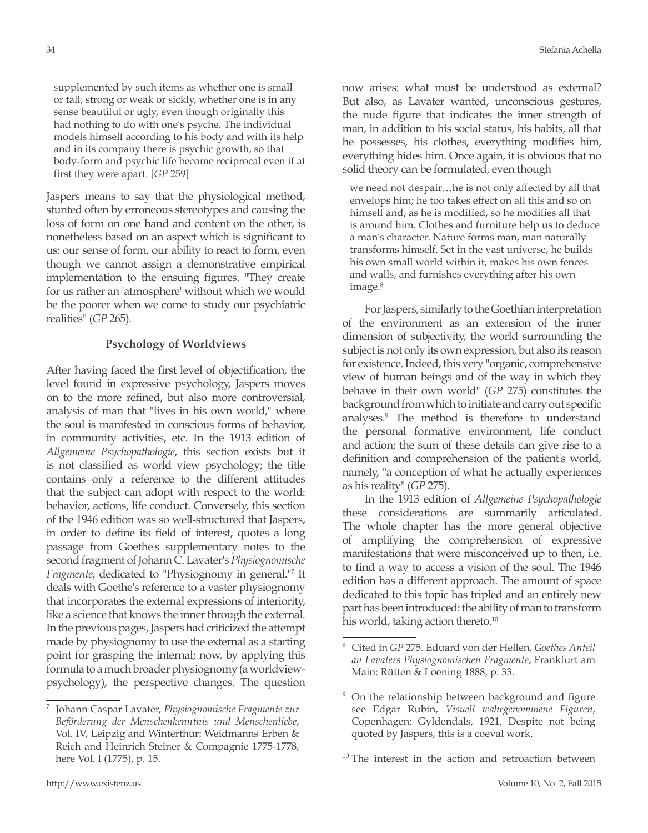supplemented by such items as whether one is small or tall, strong or weak or sickly, whether one is in any sense beautiful or ugly, even though originally this had nothing to do with one's psyche. The individual models himself according to his body and with its help and in its company there is psychic growth, so that body-form and psychic life become reciprocal even if at first they were apart. [*GP* 259]

Jaspers means to say that the physiological method, stunted often by erroneous stereotypes and causing the loss of form on one hand and content on the other, is nonetheless based on an aspect which is significant to us: our sense of form, our ability to react to form, even though we cannot assign a demonstrative empirical implementation to the ensuing figures. "They create for us rather an 'atmosphere' without which we would be the poorer when we come to study our psychiatric realities" (*GP* 265).

#### **Psychology of Worldviews**

After having faced the first level of objectification, the level found in expressive psychology, Jaspers moves on to the more refined, but also more controversial, analysis of man that "lives in his own world," where the soul is manifested in conscious forms of behavior, in community activities, etc. In the 1913 edition of *Allgemeine Psychopathologie*, this section exists but it is not classified as world view psychology; the title contains only a reference to the different attitudes that the subject can adopt with respect to the world: behavior, actions, life conduct. Conversely, this section of the 1946 edition was so well-structured that Jaspers, in order to define its field of interest, quotes a long passage from Goethe's supplementary notes to the second fragment of Johann C. Lavater's *Physiognomische Fragmente*, dedicated to "Physiognomy in general."7 It deals with Goethe's reference to a vaster physiognomy that incorporates the external expressions of interiority, like a science that knows the inner through the external. In the previous pages, Jaspers had criticized the attempt made by physiognomy to use the external as a starting point for grasping the internal; now, by applying this formula to a much broader physiognomy (a worldviewpsychology), the perspective changes. The question

now arises: what must be understood as external? But also, as Lavater wanted, unconscious gestures, the nude figure that indicates the inner strength of man, in addition to his social status, his habits, all that he possesses, his clothes, everything modifies him, everything hides him. Once again, it is obvious that no solid theory can be formulated, even though

we need not despair…he is not only affected by all that envelops him; he too takes effect on all this and so on himself and, as he is modified, so he modifies all that is around him. Clothes and furniture help us to deduce a man's character. Nature forms man, man naturally transforms himself. Set in the vast universe, he builds his own small world within it, makes his own fences and walls, and furnishes everything after his own image.<sup>8</sup>

For Jaspers, similarly to the Goethian interpretation of the environment as an extension of the inner dimension of subjectivity, the world surrounding the subject is not only its own expression, but also its reason for existence. Indeed, this very "organic, comprehensive view of human beings and of the way in which they behave in their own world" (*GP* 275) constitutes the background from which to initiate and carry out specific analyses.9 The method is therefore to understand the personal formative environment, life conduct and action; the sum of these details can give rise to a definition and comprehension of the patient's world, namely, "a conception of what he actually experiences as his reality" (*GP* 275).

In the 1913 edition of *Allgemeine Psychopathologie*  these considerations are summarily articulated. The whole chapter has the more general objective of amplifying the comprehension of expressive manifestations that were misconceived up to then, i.e. to find a way to access a vision of the soul. The 1946 edition has a different approach. The amount of space dedicated to this topic has tripled and an entirely new part has been introduced: the ability of man to transform his world, taking action thereto.<sup>10</sup>

<sup>7</sup> Johann Caspar Lavater, *Physiognomische Fragmente zur Beförderung der Menschenkenntnis und Menschenliebe*, Vol. IV, Leipzig and Winterthur: Weidmanns Erben & Reich and Heinrich Steiner & Compagnie 1775-1778, here Vol. I (1775), p. 15.

<sup>8</sup> Cited in *GP* 275. Eduard von der Hellen, *Goethes Anteil an Lavaters Physiognomischen Fragmente*, Frankfurt am Main: Rütten & Loening 1888, p. 33.

<sup>&</sup>lt;sup>9</sup> On the relationship between background and figure see Edgar Rubin, *Visuell wahrgenommene Figuren*, Copenhagen: Gyldendals, 1921. Despite not being quoted by Jaspers, this is a coeval work.

<sup>&</sup>lt;sup>10</sup> The interest in the action and retroaction between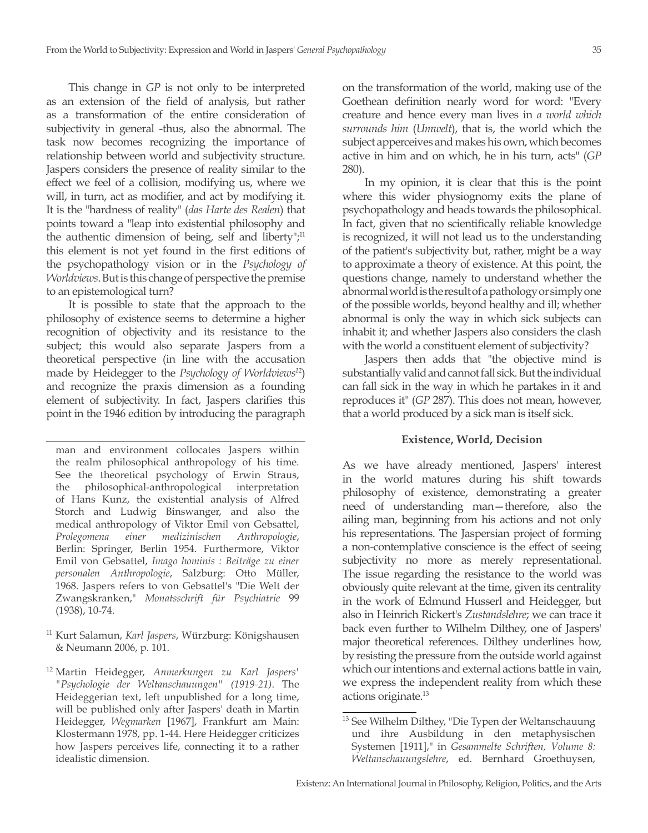This change in *GP* is not only to be interpreted as an extension of the field of analysis, but rather as a transformation of the entire consideration of subjectivity in general -thus, also the abnormal. The task now becomes recognizing the importance of relationship between world and subjectivity structure. Jaspers considers the presence of reality similar to the effect we feel of a collision, modifying us, where we will, in turn, act as modifier, and act by modifying it. It is the "hardness of reality" (*das Harte des Realen*) that points toward a "leap into existential philosophy and the authentic dimension of being, self and liberty", $11$ this element is not yet found in the first editions of the psychopathology vision or in the *Psychology of Worldviews*. But is this change of perspective the premise to an epistemological turn?

It is possible to state that the approach to the philosophy of existence seems to determine a higher recognition of objectivity and its resistance to the subject; this would also separate Jaspers from a theoretical perspective (in line with the accusation made by Heidegger to the *Psychology of Worldviews12*) and recognize the praxis dimension as a founding element of subjectivity. In fact, Jaspers clarifies this point in the 1946 edition by introducing the paragraph

<sup>11</sup> Kurt Salamun, *Karl Jaspers*, Würzburg: Königshausen & Neumann 2006, p. 101.

on the transformation of the world, making use of the Goethean definition nearly word for word: "Every creature and hence every man lives in *a world which surrounds him* (*Umwelt*), that is, the world which the subject apperceives and makes his own, which becomes active in him and on which, he in his turn, acts" (*GP* 280).

In my opinion, it is clear that this is the point where this wider physiognomy exits the plane of psychopathology and heads towards the philosophical. In fact, given that no scientifically reliable knowledge is recognized, it will not lead us to the understanding of the patient's subjectivity but, rather, might be a way to approximate a theory of existence. At this point, the questions change, namely to understand whether the abnormal world is the result of a pathology or simply one of the possible worlds, beyond healthy and ill; whether abnormal is only the way in which sick subjects can inhabit it; and whether Jaspers also considers the clash with the world a constituent element of subjectivity?

Jaspers then adds that "the objective mind is substantially valid and cannot fall sick. But the individual can fall sick in the way in which he partakes in it and reproduces it" (*GP* 287). This does not mean, however, that a world produced by a sick man is itself sick.

## **Existence, World, Decision**

As we have already mentioned, Jaspers' interest in the world matures during his shift towards philosophy of existence, demonstrating a greater need of understanding man—therefore, also the ailing man, beginning from his actions and not only his representations. The Jaspersian project of forming a non-contemplative conscience is the effect of seeing subjectivity no more as merely representational. The issue regarding the resistance to the world was obviously quite relevant at the time, given its centrality in the work of Edmund Husserl and Heidegger, but also in Heinrich Rickert's *Zustandslehre*; we can trace it back even further to Wilhelm Dilthey, one of Jaspers' major theoretical references. Dilthey underlines how, by resisting the pressure from the outside world against which our intentions and external actions battle in vain, we express the independent reality from which these actions originate.13

man and environment collocates Jaspers within the realm philosophical anthropology of his time. See the theoretical psychology of Erwin Straus, the philosophical-anthropological interpretation of Hans Kunz, the existential analysis of Alfred Storch and Ludwig Binswanger, and also the medical anthropology of Viktor Emil von Gebsattel, *Prolegomena einer medizinischen Anthropologie*, Berlin: Springer, Berlin 1954. Furthermore, Viktor Emil von Gebsattel, *Imago hominis : Beiträge zu einer personalen Anthropologie*, Salzburg: Otto Müller, 1968. Jaspers refers to von Gebsattel's "Die Welt der Zwangskranken," *Monatsschrift für Psychiatrie* 99 (1938), 10-74.

<sup>12</sup> Martin Heidegger, *Anmerkungen zu Karl Jaspers' "Psychologie der Weltanschauungen" (1919-21)*. The Heideggerian text, left unpublished for a long time, will be published only after Jaspers' death in Martin Heidegger, *Wegmarken* [1967], Frankfurt am Main: Klostermann 1978, pp. 1-44. Here Heidegger criticizes how Jaspers perceives life, connecting it to a rather idealistic dimension.

<sup>&</sup>lt;sup>13</sup> See Wilhelm Dilthey, "Die Typen der Weltanschauung und ihre Ausbildung in den metaphysischen Systemen [1911]," in *Gesammelte Schriften, Volume 8: Weltanschauungslehre*, ed. Bernhard Groethuysen,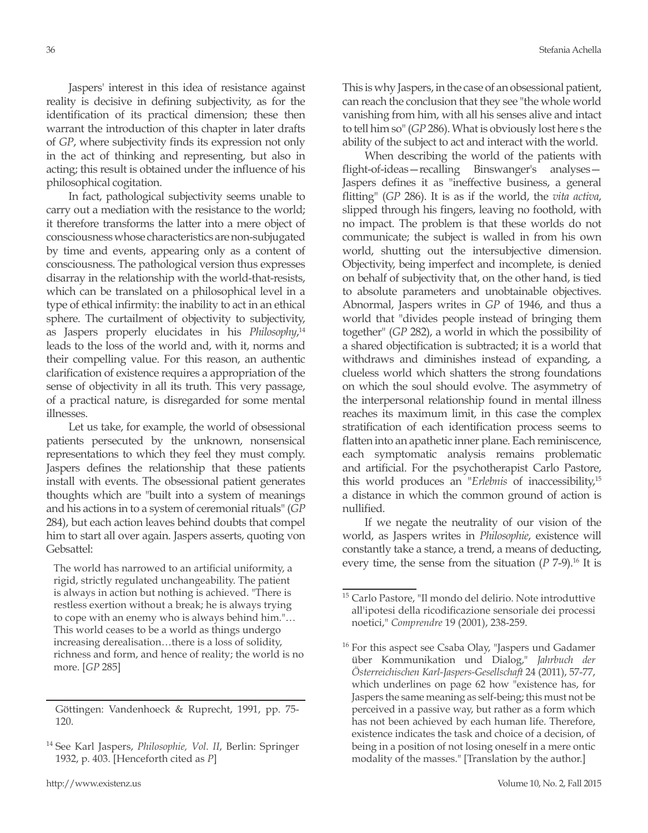Jaspers' interest in this idea of resistance against reality is decisive in defining subjectivity, as for the identification of its practical dimension; these then warrant the introduction of this chapter in later drafts of *GP*, where subjectivity finds its expression not only in the act of thinking and representing, but also in acting; this result is obtained under the influence of his philosophical cogitation.

In fact, pathological subjectivity seems unable to carry out a mediation with the resistance to the world; it therefore transforms the latter into a mere object of consciousness whose characteristics are non-subjugated by time and events, appearing only as a content of consciousness. The pathological version thus expresses disarray in the relationship with the world-that-resists, which can be translated on a philosophical level in a type of ethical infirmity: the inability to act in an ethical sphere. The curtailment of objectivity to subjectivity, as Jaspers properly elucidates in his *Philosophy*,<sup>14</sup> leads to the loss of the world and, with it, norms and their compelling value. For this reason, an authentic clarification of existence requires a appropriation of the sense of objectivity in all its truth. This very passage, of a practical nature, is disregarded for some mental illnesses.

Let us take, for example, the world of obsessional patients persecuted by the unknown, nonsensical representations to which they feel they must comply. Jaspers defines the relationship that these patients install with events. The obsessional patient generates thoughts which are "built into a system of meanings and his actions in to a system of ceremonial rituals" (*GP* 284), but each action leaves behind doubts that compel him to start all over again. Jaspers asserts, quoting von Gebsattel:

The world has narrowed to an artificial uniformity, a rigid, strictly regulated unchangeability. The patient is always in action but nothing is achieved. "There is restless exertion without a break; he is always trying to cope with an enemy who is always behind him."… This world ceases to be a world as things undergo increasing derealisation…there is a loss of solidity, richness and form, and hence of reality; the world is no more. [*GP* 285]

This is why Jaspers, in the case of an obsessional patient, can reach the conclusion that they see "the whole world vanishing from him, with all his senses alive and intact to tell him so" (*GP* 286). What is obviously lost here s the ability of the subject to act and interact with the world.

When describing the world of the patients with flight-of-ideas—recalling Binswanger's analyses— Jaspers defines it as "ineffective business, a general flitting" (*GP* 286). It is as if the world, the *vita activa*, slipped through his fingers, leaving no foothold, with no impact. The problem is that these worlds do not communicate; the subject is walled in from his own world, shutting out the intersubjective dimension. Objectivity, being imperfect and incomplete, is denied on behalf of subjectivity that, on the other hand, is tied to absolute parameters and unobtainable objectives. Abnormal, Jaspers writes in *GP* of 1946, and thus a world that "divides people instead of bringing them together" (*GP* 282), a world in which the possibility of a shared objectification is subtracted; it is a world that withdraws and diminishes instead of expanding, a clueless world which shatters the strong foundations on which the soul should evolve. The asymmetry of the interpersonal relationship found in mental illness reaches its maximum limit, in this case the complex stratification of each identification process seems to flatten into an apathetic inner plane. Each reminiscence, each symptomatic analysis remains problematic and artificial. For the psychotherapist Carlo Pastore, this world produces an "*Erlebnis* of inaccessibility,15 a distance in which the common ground of action is nullified.

If we negate the neutrality of our vision of the world, as Jaspers writes in *Philosophie*, existence will constantly take a stance, a trend, a means of deducting, every time, the sense from the situation  $(P \n17-9)$ .<sup>16</sup> It is

Göttingen: Vandenhoeck & Ruprecht, 1991, pp. 75- 120.

<sup>14</sup> See Karl Jaspers, *Philosophie, Vol. II*, Berlin: Springer 1932, p. 403. [Henceforth cited as *P*]

<sup>15</sup> Carlo Pastore, "Il mondo del delirio. Note introduttive all'ipotesi della ricodificazione sensoriale dei processi noetici," *Comprendre* 19 (2001), 238-259.

<sup>&</sup>lt;sup>16</sup> For this aspect see Csaba Olay, "Jaspers und Gadamer über Kommunikation und Dialog," *Jahrbuch der Österreichischen Karl-Jaspers-Gesellschaft* 24 (2011), 57-77, which underlines on page 62 how "existence has, for Jaspers the same meaning as self-being; this must not be perceived in a passive way, but rather as a form which has not been achieved by each human life. Therefore, existence indicates the task and choice of a decision, of being in a position of not losing oneself in a mere ontic modality of the masses." [Translation by the author.]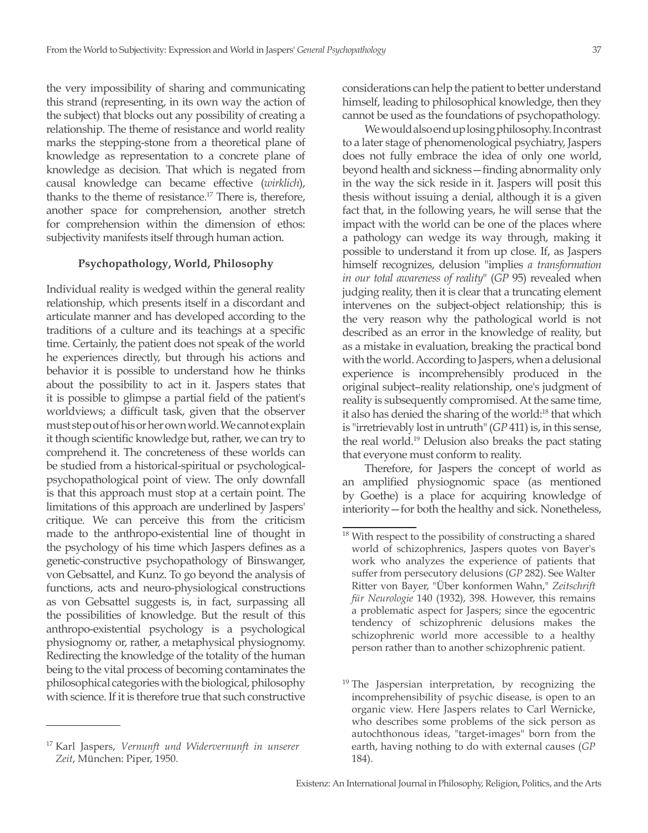the very impossibility of sharing and communicating this strand (representing, in its own way the action of the subject) that blocks out any possibility of creating a relationship. The theme of resistance and world reality marks the stepping-stone from a theoretical plane of knowledge as representation to a concrete plane of knowledge as decision. That which is negated from causal knowledge can became effective (*wirklich*), thanks to the theme of resistance.17 There is, therefore, another space for comprehension, another stretch for comprehension within the dimension of ethos: subjectivity manifests itself through human action.

# **Psychopathology, World, Philosophy**

Individual reality is wedged within the general reality relationship, which presents itself in a discordant and articulate manner and has developed according to the traditions of a culture and its teachings at a specific time. Certainly, the patient does not speak of the world he experiences directly, but through his actions and behavior it is possible to understand how he thinks about the possibility to act in it. Jaspers states that it is possible to glimpse a partial field of the patient's worldviews; a difficult task, given that the observer must step out of his or her own world. We cannot explain it though scientific knowledge but, rather, we can try to comprehend it. The concreteness of these worlds can be studied from a historical-spiritual or psychologicalpsychopathological point of view. The only downfall is that this approach must stop at a certain point. The limitations of this approach are underlined by Jaspers' critique. We can perceive this from the criticism made to the anthropo-existential line of thought in the psychology of his time which Jaspers defines as a genetic-constructive psychopathology of Binswanger, von Gebsattel, and Kunz. To go beyond the analysis of functions, acts and neuro-physiological constructions as von Gebsattel suggests is, in fact, surpassing all the possibilities of knowledge. But the result of this anthropo-existential psychology is a psychological physiognomy or, rather, a metaphysical physiognomy. Redirecting the knowledge of the totality of the human being to the vital process of becoming contaminates the philosophical categories with the biological, philosophy with science. If it is therefore true that such constructive

considerations can help the patient to better understand himself, leading to philosophical knowledge, then they cannot be used as the foundations of psychopathology.

We would also end up losing philosophy. In contrast to a later stage of phenomenological psychiatry, Jaspers does not fully embrace the idea of only one world, beyond health and sickness—finding abnormality only in the way the sick reside in it. Jaspers will posit this thesis without issuing a denial, although it is a given fact that, in the following years, he will sense that the impact with the world can be one of the places where a pathology can wedge its way through, making it possible to understand it from up close. If, as Jaspers himself recognizes, delusion "implies *a transformation in our total awareness of reality*" (*GP* 95) revealed when judging reality, then it is clear that a truncating element intervenes on the subject-object relationship; this is the very reason why the pathological world is not described as an error in the knowledge of reality, but as a mistake in evaluation, breaking the practical bond with the world. According to Jaspers, when a delusional experience is incomprehensibly produced in the original subject–reality relationship, one's judgment of reality is subsequently compromised. At the same time, it also has denied the sharing of the world:<sup>18</sup> that which is "irretrievably lost in untruth" (*GP* 411) is, in this sense, the real world.19 Delusion also breaks the pact stating that everyone must conform to reality.

Therefore, for Jaspers the concept of world as an amplified physiognomic space (as mentioned by Goethe) is a place for acquiring knowledge of interiority—for both the healthy and sick. Nonetheless,

<sup>17</sup> Karl Jaspers, *Vernunft und Widervernunft in unserer Zeit*, München: Piper, 1950.

<sup>&</sup>lt;sup>18</sup> With respect to the possibility of constructing a shared world of schizophrenics, Jaspers quotes von Bayer's work who analyzes the experience of patients that suffer from persecutory delusions (*GP* 282). See Walter Ritter von Bayer, "Über konformen Wahn," *Zeitschrift für Neurologie* 140 (1932), 398. However, this remains a problematic aspect for Jaspers; since the egocentric tendency of schizophrenic delusions makes the schizophrenic world more accessible to a healthy person rather than to another schizophrenic patient.

<sup>&</sup>lt;sup>19</sup> The Jaspersian interpretation, by recognizing the incomprehensibility of psychic disease, is open to an organic view. Here Jaspers relates to Carl Wernicke, who describes some problems of the sick person as autochthonous ideas, "target-images" born from the earth, having nothing to do with external causes (*GP* 184).